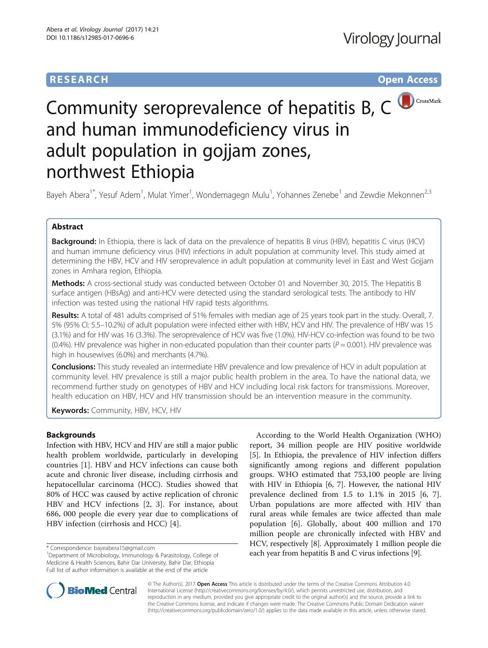# **RESEARCH CHE Open Access**



# Community seroprevalence of hepatitis B, C and human immunodeficiency virus in adult population in gojjam zones, northwest Ethiopia

Bayeh Abera<sup>1\*</sup>, Yesuf Adem<sup>1</sup>, Mulat Yimer<sup>1</sup>, Wondemagegn Mulu<sup>1</sup>, Yohannes Zenebe<sup>1</sup> and Zewdie Mekonnen<sup>2,3</sup>

# Abstract

Background: In Ethiopia, there is lack of data on the prevalence of hepatitis B virus (HBV), hepatitis C virus (HCV) and human immune deficiency virus (HIV) infections in adult population at community level. This study aimed at determining the HBV, HCV and HIV seroprevalence in adult population at community level in East and West Gojjam zones in Amhara region, Ethiopia.

Methods: A cross-sectional study was conducted between October 01 and November 30, 2015. The Hepatitis B surface antigen (HBsAg) and anti-HCV were detected using the standard serological tests. The antibody to HIV infection was tested using the national HIV rapid tests algorithms.

Results: A total of 481 adults comprised of 51% females with median age of 25 years took part in the study. Overall, 7. 5% (95% CI: 5.5–10.2%) of adult population were infected either with HBV, HCV and HIV. The prevalence of HBV was 15 (3.1%) and for HIV was 16 (3.3%). The seroprevalence of HCV was five (1.0%). HIV-HCV co-infection was found to be two (0.4%). HIV prevalence was higher in non-educated population than their counter parts ( $P = 0.001$ ). HIV prevalence was high in housewives (6.0%) and merchants (4.7%).

Conclusions: This study revealed an intermediate HBV prevalence and low prevalence of HCV in adult population at community level. HIV prevalence is still a major public health problem in the area. To have the national data, we recommend further study on genotypes of HBV and HCV including local risk factors for transmissions. Moreover, health education on HBV, HCV and HIV transmission should be an intervention measure in the community.

Keywords: Community, HBV, HCV, HIV

## **Backgrounds**

Infection with HBV, HCV and HIV are still a major public health problem worldwide, particularly in developing countries [[1](#page-4-0)]. HBV and HCV infections can cause both acute and chronic liver disease, including cirrhosis and hepatocellular carcinoma (HCC). Studies showed that 80% of HCC was caused by active replication of chronic HBV and HCV infections [[2, 3](#page-4-0)]. For instance, about 686, 000 people die every year due to complications of HBV infection (cirrhosis and HCC) [[4](#page-4-0)].

According to the World Health Organization (WHO) report, 34 million people are HIV positive worldwide [[5\]](#page-4-0). In Ethiopia, the prevalence of HIV infection differs significantly among regions and different population groups. WHO estimated that 753,100 people are living with HIV in Ethiopia [[6](#page-4-0), [7](#page-4-0)]. However, the national HIV prevalence declined from 1.5 to 1.1% in 2015 [[6, 7](#page-4-0)]. Urban populations are more affected with HIV than rural areas while females are twice affected than male population [[6\]](#page-4-0). Globally, about 400 million and 170 million people are chronically infected with HBV and HCV, respectively [[8](#page-4-0)]. Approximately 1 million people die expressiondence: bayeabera15@gmail.com and all correspondence: bayeabera15@gmail.com 110000 college of the each year from hepatitis B and C virus infections [[9\]](#page-4-0).



© The Author(s). 2017 **Open Access** This article is distributed under the terms of the Creative Commons Attribution 4.0 International License [\(http://creativecommons.org/licenses/by/4.0/](http://creativecommons.org/licenses/by/4.0/)), which permits unrestricted use, distribution, and reproduction in any medium, provided you give appropriate credit to the original author(s) and the source, provide a link to the Creative Commons license, and indicate if changes were made. The Creative Commons Public Domain Dedication waiver [\(http://creativecommons.org/publicdomain/zero/1.0/](http://creativecommons.org/publicdomain/zero/1.0/)) applies to the data made available in this article, unless otherwise stated.

Department of Microbiology, Immunology & Parasitology, College of Medicine & Health Sciences, Bahir Dar University, Bahir Dar, Ethiopia Full list of author information is available at the end of the article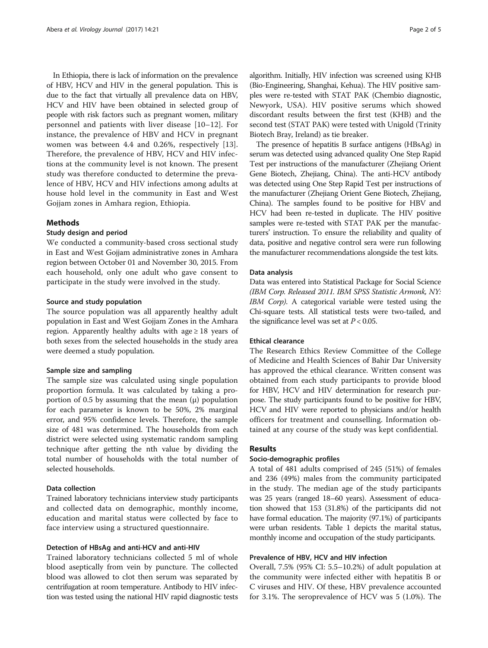In Ethiopia, there is lack of information on the prevalence of HBV, HCV and HIV in the general population. This is due to the fact that virtually all prevalence data on HBV, HCV and HIV have been obtained in selected group of people with risk factors such as pregnant women, military personnel and patients with liver disease [[10](#page-4-0)–[12\]](#page-4-0). For instance, the prevalence of HBV and HCV in pregnant women was between 4.4 and 0.26%, respectively [\[13](#page-4-0)]. Therefore, the prevalence of HBV, HCV and HIV infections at the community level is not known. The present study was therefore conducted to determine the prevalence of HBV, HCV and HIV infections among adults at house hold level in the community in East and West Gojjam zones in Amhara region, Ethiopia.

### Methods

#### Study design and period

We conducted a community-based cross sectional study in East and West Gojjam administrative zones in Amhara region between October 01 and November 30, 2015. From each household, only one adult who gave consent to participate in the study were involved in the study.

#### Source and study population

The source population was all apparently healthy adult population in East and West Gojjam Zones in the Amhara region. Apparently healthy adults with age  $\geq 18$  years of both sexes from the selected households in the study area were deemed a study population.

#### Sample size and sampling

The sample size was calculated using single population proportion formula. It was calculated by taking a proportion of 0.5 by assuming that the mean  $(\mu)$  population for each parameter is known to be 50%, 2% marginal error, and 95% confidence levels. Therefore, the sample size of 481 was determined. The households from each district were selected using systematic random sampling technique after getting the nth value by dividing the total number of households with the total number of selected households.

#### Data collection

Trained laboratory technicians interview study participants and collected data on demographic, monthly income, education and marital status were collected by face to face interview using a structured questionnaire.

#### Detection of HBsAg and anti-HCV and anti-HIV

Trained laboratory technicians collected 5 ml of whole blood aseptically from vein by puncture. The collected blood was allowed to clot then serum was separated by centrifugation at room temperature. Antibody to HIV infection was tested using the national HIV rapid diagnostic tests

algorithm. Initially, HIV infection was screened using KHB (Bio-Engineering, Shanghai, Kehua). The HIV positive samples were re-tested with STAT PAK (Chembio diagnostic, Newyork, USA). HIV positive serums which showed discordant results between the first test (KHB) and the second test (STAT PAK) were tested with Unigold (Trinity Biotech Bray, Ireland) as tie breaker.

The presence of hepatitis B surface antigens (HBsAg) in serum was detected using advanced quality One Step Rapid Test per instructions of the manufacturer (Zhejiang Orient Gene Biotech, Zhejiang, China). The anti-HCV antibody was detected using One Step Rapid Test per instructions of the manufacturer (Zhejiang Orient Gene Biotech, Zhejiang, China). The samples found to be positive for HBV and HCV had been re-tested in duplicate. The HIV positive samples were re-tested with STAT PAK per the manufacturers' instruction. To ensure the reliability and quality of data, positive and negative control sera were run following the manufacturer recommendations alongside the test kits.

#### Data analysis

Data was entered into Statistical Package for Social Science (IBM Corp. Released 2011. IBM SPSS Statistic Armonk, NY: IBM Corp). A categorical variable were tested using the Chi-square tests. All statistical tests were two-tailed, and the significance level was set at  $P < 0.05$ .

#### Ethical clearance

The Research Ethics Review Committee of the College of Medicine and Health Sciences of Bahir Dar University has approved the ethical clearance. Written consent was obtained from each study participants to provide blood for HBV, HCV and HIV determination for research purpose. The study participants found to be positive for HBV, HCV and HIV were reported to physicians and/or health officers for treatment and counselling. Information obtained at any course of the study was kept confidential.

#### Results

#### Socio-demographic profiles

A total of 481 adults comprised of 245 (51%) of females and 236 (49%) males from the community participated in the study. The median age of the study participants was 25 years (ranged 18–60 years). Assessment of education showed that 153 (31.8%) of the participants did not have formal education. The majority (97.1%) of participants were urban residents. Table [1](#page-2-0) depicts the marital status, monthly income and occupation of the study participants.

#### Prevalence of HBV, HCV and HIV infection

Overall, 7.5% (95% CI: 5.5–10.2%) of adult population at the community were infected either with hepatitis B or C viruses and HIV. Of these, HBV prevalence accounted for 3.1%. The seroprevalence of HCV was 5 (1.0%). The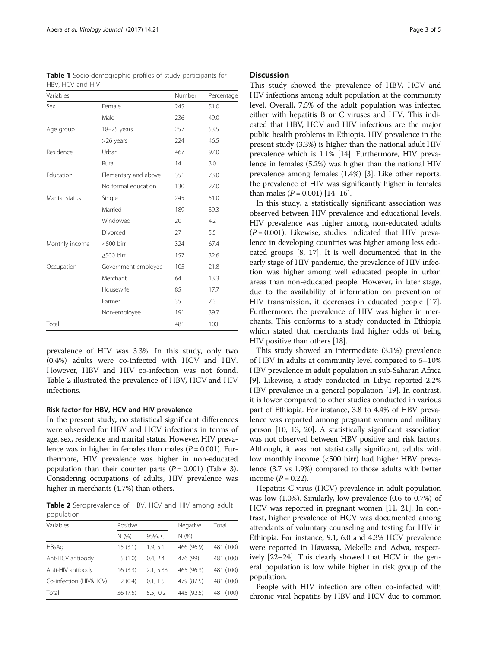| Variables      |                      | Number | Percentage |
|----------------|----------------------|--------|------------|
| Sex            | Female               | 245    | 51.0       |
|                | Male                 | 236    | 49.0       |
| Age group      | 18-25 years          | 257    | 53.5       |
|                | >26 years            | 224    | 46.5       |
| Residence      | Urban                | 467    | 97.0       |
|                | Rural                | 14     | 3.0        |
| Education      | Elementary and above | 351    | 73.0       |
|                | No formal education  | 130    | 27.0       |
| Marital status | Single               | 245    | 51.0       |
|                | Married              | 189    | 39.3       |
|                | Windowed             | 20     | 4.2        |
|                | Divorced             | 27     | 5.5        |
| Monthly income | <500 birr            | 324    | 67.4       |
|                | ≥500 birr            | 157    | 32.6       |
| Occupation     | Government employee  | 105    | 21.8       |
|                | Merchant             | 64     | 13.3       |
|                | Housewife            | 85     | 17.7       |
|                | Farmer               | 35     | 7.3        |
|                | Non-employee         | 191    | 39.7       |
| Total          |                      | 481    | 100        |

<span id="page-2-0"></span>Table 1 Socio-demographic profiles of study participants for HBV, HCV and HIV

prevalence of HIV was 3.3%. In this study, only two (0.4%) adults were co-infected with HCV and HIV. However, HBV and HIV co-infection was not found. Table 2 illustrated the prevalence of HBV, HCV and HIV infections.

#### Risk factor for HBV, HCV and HIV prevalence

In the present study, no statistical significant differences were observed for HBV and HCV infections in terms of age, sex, residence and marital status. However, HIV prevalence was in higher in females than males  $(P = 0.001)$ . Furthermore, HIV prevalence was higher in non-educated population than their counter parts  $(P = 0.001)$  (Table [3](#page-3-0)). Considering occupations of adults, HIV prevalence was higher in merchants (4.7%) than others.

Table 2 Seroprevalence of HBV, HCV and HIV among adult population

| Variables              | Positive |           | Negative   | Total     |  |
|------------------------|----------|-----------|------------|-----------|--|
|                        | N(% )    | 95%, CI   | N(% )      |           |  |
| <b>HBsAg</b>           | 15(3.1)  | 1.9, 5.1  | 466 (96.9) | 481 (100) |  |
| Ant-HCV antibody       | 5(1.0)   | 0.4.2.4   | 476 (99)   | 481 (100) |  |
| Anti-HIV antibody      | 16(3.3)  | 2.1, 5.33 | 465 (96.3) | 481 (100) |  |
| Co-infection (HIV&HCV) | 2(0.4)   | 0.1, 1.5  | 479 (87.5) | 481 (100) |  |
| Total                  | 36(7.5)  | 5.5,10.2  | 445 (92.5) | 481 (100) |  |

#### **Discussion**

This study showed the prevalence of HBV, HCV and HIV infections among adult population at the community level. Overall, 7.5% of the adult population was infected either with hepatitis B or C viruses and HIV. This indicated that HBV, HCV and HIV infections are the major public health problems in Ethiopia. HIV prevalence in the present study (3.3%) is higher than the national adult HIV prevalence which is 1.1% [[14](#page-4-0)]. Furthermore, HIV prevalence in females (5.2%) was higher than the national HIV prevalence among females (1.4%) [[3\]](#page-4-0). Like other reports, the prevalence of HIV was significantly higher in females than males  $(P = 0.001)$  [\[14](#page-4-0)–[16](#page-4-0)].

In this study, a statistically significant association was observed between HIV prevalence and educational levels. HIV prevalence was higher among non-educated adults  $(P = 0.001)$ . Likewise, studies indicated that HIV prevalence in developing countries was higher among less educated groups [\[8](#page-4-0), [17\]](#page-4-0). It is well documented that in the early stage of HIV pandemic, the prevalence of HIV infection was higher among well educated people in urban areas than non-educated people. However, in later stage, due to the availability of information on prevention of HIV transmission, it decreases in educated people [[17](#page-4-0)]. Furthermore, the prevalence of HIV was higher in merchants. This conforms to a study conducted in Ethiopia which stated that merchants had higher odds of being HIV positive than others [\[18\]](#page-4-0).

This study showed an intermediate (3.1%) prevalence of HBV in adults at community level compared to 5–10% HBV prevalence in adult population in sub-Saharan Africa [[9\]](#page-4-0). Likewise, a study conducted in Libya reported 2.2% HBV prevalence in a general population [\[19\]](#page-4-0). In contrast, it is lower compared to other studies conducted in various part of Ethiopia. For instance, 3.8 to 4.4% of HBV prevalence was reported among pregnant women and military person [\[10, 13, 20\]](#page-4-0). A statistically significant association was not observed between HBV positive and risk factors. Although, it was not statistically significant, adults with low monthly income (<500 birr) had higher HBV prevalence (3.7 vs 1.9%) compared to those adults with better income ( $P = 0.22$ ).

Hepatitis C virus (HCV) prevalence in adult population was low (1.0%). Similarly, low prevalence (0.6 to 0.7%) of HCV was reported in pregnant women [[11](#page-4-0), [21\]](#page-4-0). In contrast, higher prevalence of HCV was documented among attendants of voluntary counseling and testing for HIV in Ethiopia. For instance, 9.1, 6.0 and 4.3% HCV prevalence were reported in Hawassa, Mekelle and Adwa, respectively [[22](#page-4-0)–[24\]](#page-4-0). This clearly showed that HCV in the general population is low while higher in risk group of the population.

People with HIV infection are often co-infected with chronic viral hepatitis by HBV and HCV due to common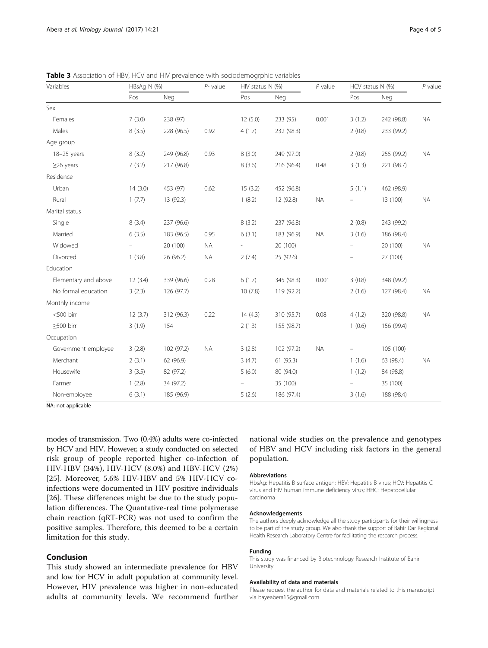| Variables            | HBsAg N (%) |            | $P-$ value | HIV status N (%) |            | $P$ value | HCV status N (%)         |            | $P$ value |
|----------------------|-------------|------------|------------|------------------|------------|-----------|--------------------------|------------|-----------|
|                      | Pos         | Neg        |            | Pos              | Neg        |           | Pos                      | Neg        |           |
| Sex                  |             |            |            |                  |            |           |                          |            |           |
| Females              | 7(3.0)      | 238 (97)   |            | 12(5.0)          | 233 (95)   | 0.001     | 3(1.2)                   | 242 (98.8) | <b>NA</b> |
| Males                | 8(3.5)      | 228 (96.5) | 0.92       | 4(1.7)           | 232 (98.3) |           | 2(0.8)                   | 233 (99.2) |           |
| Age group            |             |            |            |                  |            |           |                          |            |           |
| 18-25 years          | 8(3.2)      | 249 (96.8) | 0.93       | 8(3.0)           | 249 (97.0) |           | 2(0.8)                   | 255 (99.2) | <b>NA</b> |
| $\geq$ 26 years      | 7(3.2)      | 217 (96.8) |            | 8(3.6)           | 216 (96.4) | 0.48      | 3(1.3)                   | 221 (98.7) |           |
| Residence            |             |            |            |                  |            |           |                          |            |           |
| Urban                | 14(3.0)     | 453 (97)   | 0.62       | 15(3.2)          | 452 (96.8) |           | 5(1.1)                   | 462 (98.9) |           |
| Rural                | 1(7.7)      | 13 (92.3)  |            | 1(8.2)           | 12 (92.8)  | <b>NA</b> |                          | 13 (100)   | <b>NA</b> |
| Marital status       |             |            |            |                  |            |           |                          |            |           |
| Single               | 8(3.4)      | 237 (96.6) |            | 8(3.2)           | 237 (96.8) |           | 2(0.8)                   | 243 (99.2) |           |
| Married              | 6(3.5)      | 183 (96.5) | 0.95       | 6(3.1)           | 183 (96.9) | <b>NA</b> | 3(1.6)                   | 186 (98.4) |           |
| Widowed              |             | 20 (100)   | <b>NA</b>  | $\sim$           | 20 (100)   |           | $\overline{\phantom{a}}$ | 20 (100)   | <b>NA</b> |
| Divorced             | 1(3.8)      | 26 (96.2)  | <b>NA</b>  | 2(7.4)           | 25 (92.6)  |           |                          | 27 (100)   |           |
| Education            |             |            |            |                  |            |           |                          |            |           |
| Elementary and above | 12(3.4)     | 339 (96.6) | 0.28       | 6(1.7)           | 345 (98.3) | 0.001     | 3(0.8)                   | 348 (99.2) |           |
| No formal education  | 3(2.3)      | 126 (97.7) |            | 10(7.8)          | 119 (92.2) |           | 2(1.6)                   | 127 (98.4) | <b>NA</b> |
| Monthly income       |             |            |            |                  |            |           |                          |            |           |
| <500 birr            | 12(3.7)     | 312 (96.3) | 0.22       | 14(4.3)          | 310 (95.7) | 0.08      | 4(1.2)                   | 320 (98.8) | <b>NA</b> |
| $\geq$ 500 birr      | 3(1.9)      | 154        |            | 2(1.3)           | 155 (98.7) |           | 1(0.6)                   | 156 (99.4) |           |
| Occupation           |             |            |            |                  |            |           |                          |            |           |
| Government employee  | 3(2.8)      | 102 (97.2) | <b>NA</b>  | 3(2.8)           | 102 (97.2) | <b>NA</b> | $-$                      | 105 (100)  |           |
| Merchant             | 2(3.1)      | 62 (96.9)  |            | 3(4.7)           | 61(95.3)   |           | 1(1.6)                   | 63 (98.4)  | <b>NA</b> |
| Housewife            | 3(3.5)      | 82 (97.2)  |            | 5(6.0)           | 80 (94.0)  |           | 1(1.2)                   | 84 (98.8)  |           |
| Farmer               | 1(2.8)      | 34 (97.2)  |            |                  | 35 (100)   |           | $\overline{\phantom{a}}$ | 35 (100)   |           |
| Non-employee         | 6(3.1)      | 185 (96.9) |            | 5(2.6)           | 186 (97.4) |           | 3(1.6)                   | 188 (98.4) |           |

<span id="page-3-0"></span>Table 3 Association of HBV, HCV and HIV prevalence with sociodemogrphic variables

NA: not applicable

modes of transmission. Two (0.4%) adults were co-infected by HCV and HIV. However, a study conducted on selected risk group of people reported higher co-infection of HIV-HBV (34%), HIV-HCV (8.0%) and HBV-HCV (2%) [[25\]](#page-4-0). Moreover, 5.6% HIV-HBV and 5% HIV-HCV coinfections were documented in HIV positive individuals [[26\]](#page-4-0). These differences might be due to the study population differences. The Quantative-real time polymerase chain reaction (qRT-PCR) was not used to confirm the positive samples. Therefore, this deemed to be a certain limitation for this study.

### Conclusion

This study showed an intermediate prevalence for HBV and low for HCV in adult population at community level. However, HIV prevalence was higher in non-educated adults at community levels. We recommend further national wide studies on the prevalence and genotypes of HBV and HCV including risk factors in the general population.

#### Abbreviations

HbsAg: Hepatitis B surface antigen; HBV: Hepatitis B virus; HCV: Hepatitis C virus and HIV human immune deficiency virus; HHC: Hepatocellular carcinoma

#### Acknowledgements

The authors deeply acknowledge all the study participants for their willingness to be part of the study group. We also thank the support of Bahir Dar Regional Health Research Laboratory Centre for facilitating the research process.

#### Funding

This study was financed by Biotechnology Research Institute of Bahir University.

#### Availability of data and materials

Please request the author for data and materials related to this manuscript via bayeabera15@gmail.com.